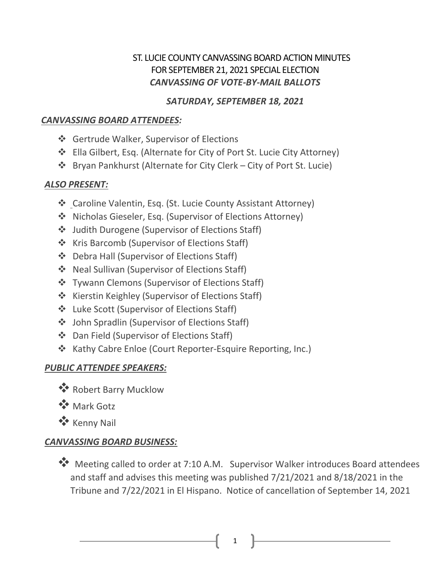## ST. LUCIE COUNTY CANVASSING BOARD ACTION MINUTES FOR SEPTEMBER 21, 2021 SPECIAL ELECTION *CANVASSING OF VOTE-BY-MAIL BALLOTS*

### *SATURDAY, SEPTEMBER 18, 2021*

## *CANVASSING BOARD ATTENDEES:*

- ❖ Gertrude Walker, Supervisor of Elections
- Ella Gilbert, Esq. (Alternate for City of Port St. Lucie City Attorney)
- Bryan Pankhurst (Alternate for City Clerk City of Port St. Lucie)

# *ALSO PRESENT:*

- ❖ Caroline Valentin, Esq. (St. Lucie County Assistant Attorney)
- Nicholas Gieseler, Esq. (Supervisor of Elections Attorney)
- Judith Durogene (Supervisor of Elections Staff)
- ❖ Kris Barcomb (Supervisor of Elections Staff)
- ❖ Debra Hall (Supervisor of Elections Staff)
- ❖ Neal Sullivan (Supervisor of Elections Staff)
- ❖ Tywann Clemons (Supervisor of Elections Staff)
- ❖ Kierstin Keighley (Supervisor of Elections Staff)
- ❖ Luke Scott (Supervisor of Elections Staff)
- John Spradlin (Supervisor of Elections Staff)
- Dan Field (Supervisor of Elections Staff)
- ❖ Kathy Cabre Enloe (Court Reporter-Esquire Reporting, Inc.)

# *PUBLIC ATTENDEE SPEAKERS:*

- Robert Barry Mucklow
- **Mark Gotz**
- **Kenny Nail**

# *CANVASSING BOARD BUSINESS:*

\*\* Meeting called to order at 7:10 A.M. Supervisor Walker introduces Board attendees and staff and advises this meeting was published 7/21/2021 and 8/18/2021 in the Tribune and 7/22/2021 in El Hispano. Notice of cancellation of September 14, 2021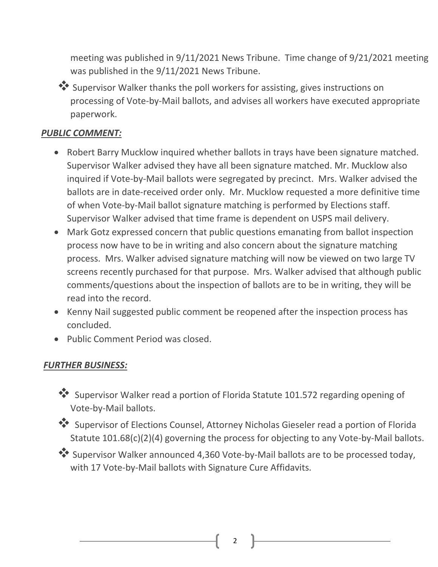meeting was published in 9/11/2021 News Tribune. Time change of 9/21/2021 meeting was published in the 9/11/2021 News Tribune.



 Supervisor Walker thanks the poll workers for assisting, gives instructions on processing of Vote-by-Mail ballots, and advises all workers have executed appropriate paperwork.

### *PUBLIC COMMENT:*

- Robert Barry Mucklow inquired whether ballots in trays have been signature matched. Supervisor Walker advised they have all been signature matched. Mr. Mucklow also inquired if Vote-by-Mail ballots were segregated by precinct. Mrs. Walker advised the ballots are in date-received order only. Mr. Mucklow requested a more definitive time of when Vote-by-Mail ballot signature matching is performed by Elections staff. Supervisor Walker advised that time frame is dependent on USPS mail delivery.
- Mark Gotz expressed concern that public questions emanating from ballot inspection process now have to be in writing and also concern about the signature matching process. Mrs. Walker advised signature matching will now be viewed on two large TV screens recently purchased for that purpose. Mrs. Walker advised that although public comments/questions about the inspection of ballots are to be in writing, they will be read into the record.
- Kenny Nail suggested public comment be reopened after the inspection process has concluded.
- Public Comment Period was closed.

### *FURTHER BUSINESS:*

- Supervisor Walker read a portion of Florida Statute 101.572 regarding opening of Vote-by-Mail ballots.
- Supervisor of Elections Counsel, Attorney Nicholas Gieseler read a portion of Florida Statute 101.68(c)(2)(4) governing the process for objecting to any Vote-by-Mail ballots.
- Supervisor Walker announced 4,360 Vote-by-Mail ballots are to be processed today, with 17 Vote-by-Mail ballots with Signature Cure Affidavits.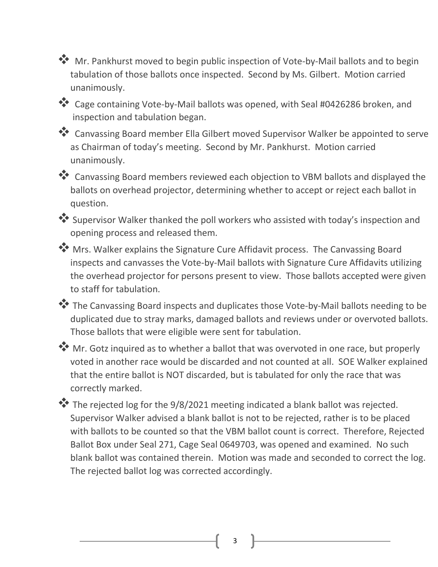**W** Mr. Pankhurst moved to begin public inspection of Vote-by-Mail ballots and to begin tabulation of those ballots once inspected. Second by Ms. Gilbert. Motion carried unanimously.

\*\* Cage containing Vote-by-Mail ballots was opened, with Seal #0426286 broken, and inspection and tabulation began.

\*\* Canvassing Board member Ella Gilbert moved Supervisor Walker be appointed to serve as Chairman of today's meeting. Second by Mr. Pankhurst. Motion carried unanimously.

\*\* Canvassing Board members reviewed each objection to VBM ballots and displayed the ballots on overhead projector, determining whether to accept or reject each ballot in question.

 Supervisor Walker thanked the poll workers who assisted with today's inspection and opening process and released them.

**W** Mrs. Walker explains the Signature Cure Affidavit process. The Canvassing Board inspects and canvasses the Vote-by-Mail ballots with Signature Cure Affidavits utilizing the overhead projector for persons present to view. Those ballots accepted were given to staff for tabulation.

\*\* The Canvassing Board inspects and duplicates those Vote-by-Mail ballots needing to be duplicated due to stray marks, damaged ballots and reviews under or overvoted ballots. Those ballots that were eligible were sent for tabulation.

 Mr. Gotz inquired as to whether a ballot that was overvoted in one race, but properly voted in another race would be discarded and not counted at all. SOE Walker explained that the entire ballot is NOT discarded, but is tabulated for only the race that was correctly marked.

\*\* The rejected log for the 9/8/2021 meeting indicated a blank ballot was rejected. Supervisor Walker advised a blank ballot is not to be rejected, rather is to be placed with ballots to be counted so that the VBM ballot count is correct. Therefore, Rejected Ballot Box under Seal 271, Cage Seal 0649703, was opened and examined. No such blank ballot was contained therein. Motion was made and seconded to correct the log. The rejected ballot log was corrected accordingly.